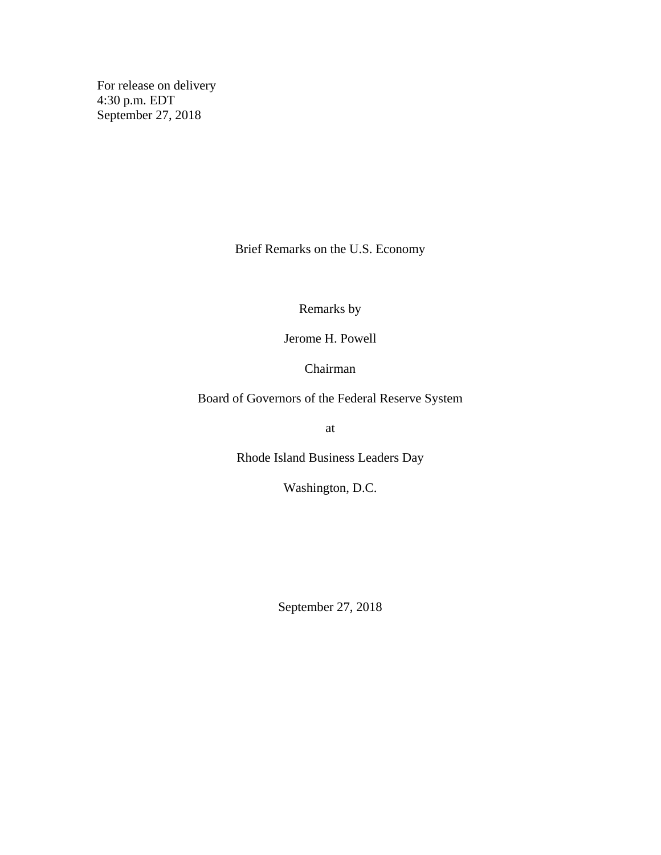For release on delivery 4:30 p.m. EDT September 27, 2018

Brief Remarks on the U.S. Economy

Remarks by

Jerome H. Powell

Chairman

Board of Governors of the Federal Reserve System

at

Rhode Island Business Leaders Day

Washington, D.C.

September 27, 2018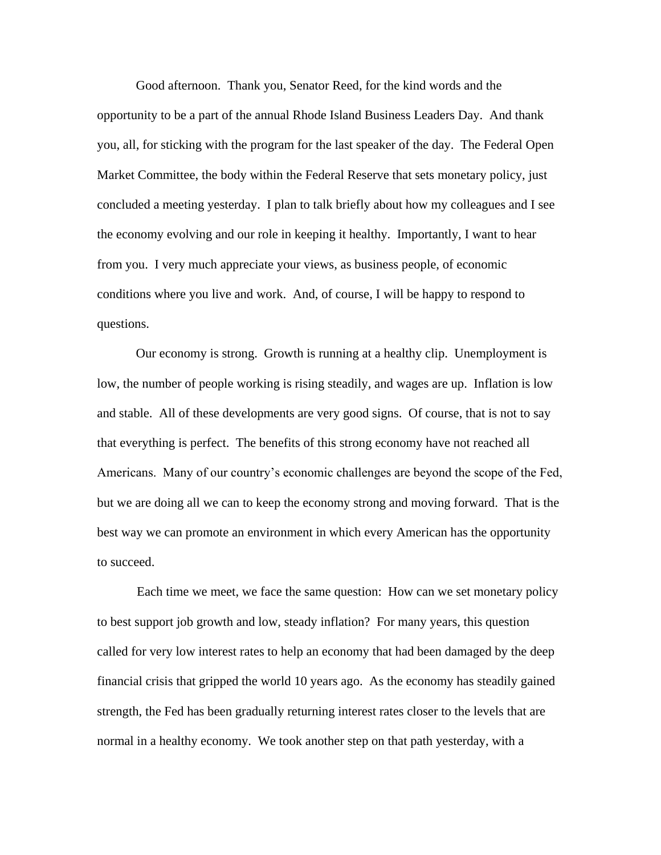Good afternoon. Thank you, Senator Reed, for the kind words and the opportunity to be a part of the annual Rhode Island Business Leaders Day. And thank you, all, for sticking with the program for the last speaker of the day. The Federal Open Market Committee, the body within the Federal Reserve that sets monetary policy, just concluded a meeting yesterday. I plan to talk briefly about how my colleagues and I see the economy evolving and our role in keeping it healthy. Importantly, I want to hear from you. I very much appreciate your views, as business people, of economic conditions where you live and work. And, of course, I will be happy to respond to questions.

Our economy is strong. Growth is running at a healthy clip. Unemployment is low, the number of people working is rising steadily, and wages are up. Inflation is low and stable. All of these developments are very good signs. Of course, that is not to say that everything is perfect. The benefits of this strong economy have not reached all Americans. Many of our country's economic challenges are beyond the scope of the Fed, but we are doing all we can to keep the economy strong and moving forward. That is the best way we can promote an environment in which every American has the opportunity to succeed.

Each time we meet, we face the same question: How can we set monetary policy to best support job growth and low, steady inflation? For many years, this question called for very low interest rates to help an economy that had been damaged by the deep financial crisis that gripped the world 10 years ago. As the economy has steadily gained strength, the Fed has been gradually returning interest rates closer to the levels that are normal in a healthy economy. We took another step on that path yesterday, with a